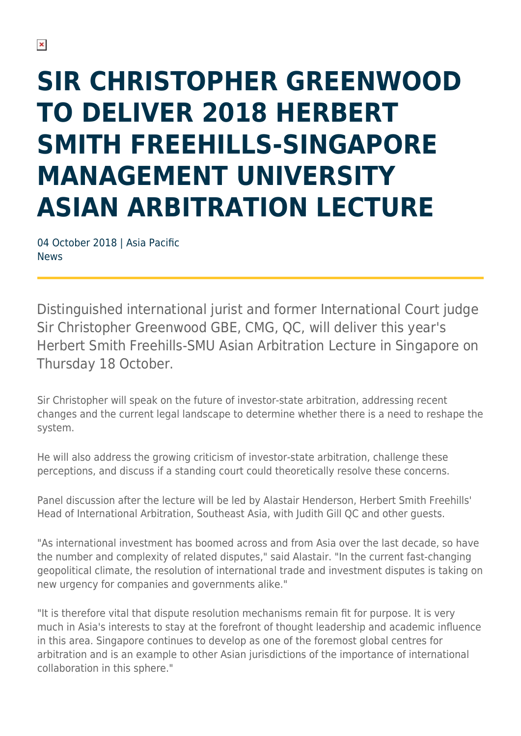# **SIR CHRISTOPHER GREENWOOD TO DELIVER 2018 HERBERT SMITH FREEHILLS-SINGAPORE MANAGEMENT UNIVERSITY ASIAN ARBITRATION LECTURE**

04 October 2018 | Asia Pacific News

Distinguished international jurist and former International Court judge Sir Christopher Greenwood GBE, CMG, QC, will deliver this year's Herbert Smith Freehills-SMU Asian Arbitration Lecture in Singapore on Thursday 18 October.

Sir Christopher will speak on the future of investor-state arbitration, addressing recent changes and the current legal landscape to determine whether there is a need to reshape the system.

He will also address the growing criticism of investor-state arbitration, challenge these perceptions, and discuss if a standing court could theoretically resolve these concerns.

Panel discussion after the lecture will be led by Alastair Henderson, Herbert Smith Freehills' Head of International Arbitration, Southeast Asia, with Judith Gill QC and other guests.

"As international investment has boomed across and from Asia over the last decade, so have the number and complexity of related disputes," said Alastair. "In the current fast-changing geopolitical climate, the resolution of international trade and investment disputes is taking on new urgency for companies and governments alike."

"It is therefore vital that dispute resolution mechanisms remain fit for purpose. It is very much in Asia's interests to stay at the forefront of thought leadership and academic influence in this area. Singapore continues to develop as one of the foremost global centres for arbitration and is an example to other Asian jurisdictions of the importance of international collaboration in this sphere."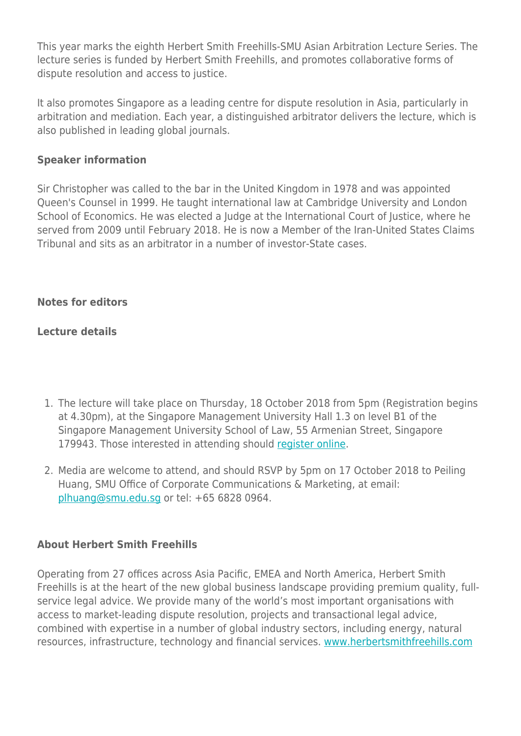This year marks the eighth Herbert Smith Freehills-SMU Asian Arbitration Lecture Series. The lecture series is funded by Herbert Smith Freehills, and promotes collaborative forms of dispute resolution and access to justice.

It also promotes Singapore as a leading centre for dispute resolution in Asia, particularly in arbitration and mediation. Each year, a distinguished arbitrator delivers the lecture, which is also published in leading global journals.

#### **Speaker information**

Sir Christopher was called to the bar in the United Kingdom in 1978 and was appointed Queen's Counsel in 1999. He taught international law at Cambridge University and London School of Economics. He was elected a Judge at the International Court of Justice, where he served from 2009 until February 2018. He is now a Member of the Iran-United States Claims Tribunal and sits as an arbitrator in a number of investor-State cases.

#### **Notes for editors**

### **Lecture details**

- 1. The lecture will take place on Thursday, 18 October 2018 from 5pm (Registration begins at 4.30pm), at the Singapore Management University Hall 1.3 on level B1 of the Singapore Management University School of Law, 55 Armenian Street, Singapore 179943. Those interested in attending should [register online](https://www.regonline.com/registration/Checkin.aspx?EventID=2534435).
- 2. Media are welcome to attend, and should RSVP by 5pm on 17 October 2018 to Peiling Huang, SMU Office of Corporate Communications & Marketing, at email: [plhuang@smu.edu.sg](mailto:plhuang@smu.edu.sg) or tel: +65 6828 0964.

### **About Herbert Smith Freehills**

Operating from 27 offices across Asia Pacific, EMEA and North America, Herbert Smith Freehills is at the heart of the new global business landscape providing premium quality, fullservice legal advice. We provide many of the world's most important organisations with access to market-leading dispute resolution, projects and transactional legal advice, combined with expertise in a number of global industry sectors, including energy, natural resources, infrastructure, technology and financial services. [www.herbertsmithfreehills.com](http://www.herbertsmithfreehills.com/)